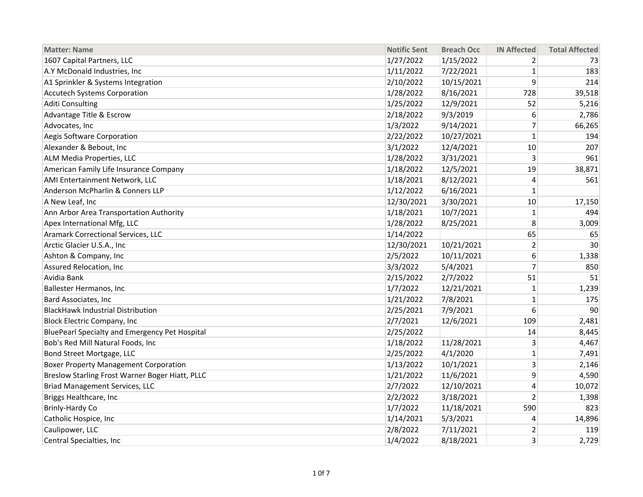| <b>Matter: Name</b>                             | <b>Notific Sent</b> | <b>Breach Occ</b> | <b>IN Affected</b> | <b>Total Affected</b> |
|-------------------------------------------------|---------------------|-------------------|--------------------|-----------------------|
| 1607 Capital Partners, LLC                      | 1/27/2022           | 1/15/2022         | 2                  | 73                    |
| A.Y McDonald Industries, Inc                    | 1/11/2022           | 7/22/2021         | 1                  | 183                   |
| A1 Sprinkler & Systems Integration              | 2/10/2022           | 10/15/2021        | 9                  | 214                   |
| <b>Accutech Systems Corporation</b>             | 1/28/2022           | 8/16/2021         | 728                | 39,518                |
| <b>Aditi Consulting</b>                         | 1/25/2022           | 12/9/2021         | 52                 | 5,216                 |
| Advantage Title & Escrow                        | 2/18/2022           | 9/3/2019          | 6                  | 2,786                 |
| Advocates, Inc                                  | 1/3/2022            | 9/14/2021         | 7                  | 66,265                |
| Aegis Software Corporation                      | 2/22/2022           | 10/27/2021        | $\mathbf{1}$       | 194                   |
| Alexander & Bebout, Inc                         | 3/1/2022            | 12/4/2021         | 10                 | 207                   |
| <b>ALM Media Properties, LLC</b>                | 1/28/2022           | 3/31/2021         | 3                  | 961                   |
| American Family Life Insurance Company          | 1/18/2022           | 12/5/2021         | 19                 | 38,871                |
| AMI Entertainment Network, LLC                  | 1/18/2021           | 8/12/2021         | 4                  | 561                   |
| Anderson McPharlin & Conners LLP                | 1/12/2022           | 6/16/2021         | $\mathbf{1}$       |                       |
| A New Leaf, Inc                                 | 12/30/2021          | 3/30/2021         | 10                 | 17,150                |
| Ann Arbor Area Transportation Authority         | 1/18/2021           | 10/7/2021         | $\mathbf{1}$       | 494                   |
| Apex International Mfg, LLC                     | 1/28/2022           | 8/25/2021         | 8                  | 3,009                 |
| Aramark Correctional Services, LLC              | 1/14/2022           |                   | 65                 | 65                    |
| Arctic Glacier U.S.A., Inc                      | 12/30/2021          | 10/21/2021        | $\overline{2}$     | 30                    |
| Ashton & Company, Inc                           | 2/5/2022            | 10/11/2021        | 6                  | 1,338                 |
| Assured Relocation, Inc                         | 3/3/2022            | 5/4/2021          | $\overline{7}$     | 850                   |
| Avidia Bank                                     | 2/15/2022           | 2/7/2022          | 51                 | 51                    |
| <b>Ballester Hermanos, Inc</b>                  | 1/7/2022            | 12/21/2021        | $\mathbf{1}$       | 1,239                 |
| Bard Associates, Inc                            | 1/21/2022           | 7/8/2021          | $\mathbf{1}$       | 175                   |
| <b>BlackHawk Industrial Distribution</b>        | 2/25/2021           | 7/9/2021          | 6                  | 90                    |
| <b>Block Electric Company, Inc</b>              | 2/7/2021            | 12/6/2021         | 109                | 2,481                 |
| BluePearl Specialty and Emergency Pet Hospital  | 2/25/2022           |                   | 14                 | 8,445                 |
| Bob's Red Mill Natural Foods, Inc               | 1/18/2022           | 11/28/2021        | 3                  | 4,467                 |
| Bond Street Mortgage, LLC                       | 2/25/2022           | 4/1/2020          | $\mathbf{1}$       | 7,491                 |
| <b>Boxer Property Management Corporation</b>    | 1/13/2022           | 10/1/2021         | 3                  | 2,146                 |
| Breslow Starling Frost Warner Boger Hiatt, PLLC | 1/21/2022           | 11/6/2021         | 9                  | 4,590                 |
| <b>Briad Management Services, LLC</b>           | 2/7/2022            | 12/10/2021        | 4                  | 10,072                |
| Briggs Healthcare, Inc                          | 2/2/2022            | 3/18/2021         | $\overline{2}$     | 1,398                 |
| <b>Brinly-Hardy Co</b>                          | 1/7/2022            | 11/18/2021        | 590                | 823                   |
| Catholic Hospice, Inc                           | 1/14/2021           | 5/3/2021          | 4                  | 14,896                |
| Caulipower, LLC                                 | 2/8/2022            | 7/11/2021         | 2                  | 119                   |
| Central Specialties, Inc                        | 1/4/2022            | 8/18/2021         | 3                  | 2,729                 |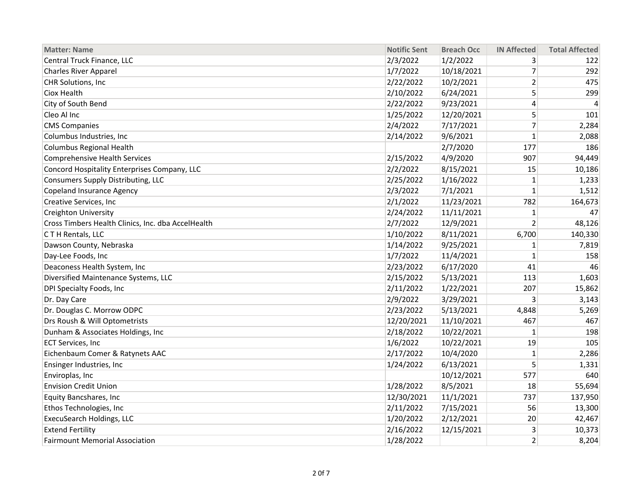| <b>Matter: Name</b>                                | <b>Notific Sent</b> | <b>Breach Occ</b> | <b>IN Affected</b> | <b>Total Affected</b> |
|----------------------------------------------------|---------------------|-------------------|--------------------|-----------------------|
| Central Truck Finance, LLC                         | 2/3/2022            | 1/2/2022          | 3                  | 122                   |
| <b>Charles River Apparel</b>                       | 1/7/2022            | 10/18/2021        | $\overline{7}$     | 292                   |
| CHR Solutions, Inc                                 | 2/22/2022           | 10/2/2021         | $\overline{2}$     | 475                   |
| Ciox Health                                        | 2/10/2022           | 6/24/2021         | 5                  | 299                   |
| City of South Bend                                 | 2/22/2022           | 9/23/2021         | 4                  | $\overline{4}$        |
| Cleo Al Inc                                        | 1/25/2022           | 12/20/2021        | 5                  | 101                   |
| <b>CMS Companies</b>                               | 2/4/2022            | 7/17/2021         | $\overline{7}$     | 2,284                 |
| Columbus Industries, Inc                           | 2/14/2022           | 9/6/2021          | $\mathbf{1}$       | 2,088                 |
| Columbus Regional Health                           |                     | 2/7/2020          | 177                | 186                   |
| <b>Comprehensive Health Services</b>               | 2/15/2022           | 4/9/2020          | 907                | 94,449                |
| Concord Hospitality Enterprises Company, LLC       | 2/2/2022            | 8/15/2021         | 15                 | 10,186                |
| Consumers Supply Distributing, LLC                 | 2/25/2022           | 1/16/2022         | 1                  | 1,233                 |
| Copeland Insurance Agency                          | 2/3/2022            | 7/1/2021          | $\mathbf{1}$       | 1,512                 |
| Creative Services, Inc                             | 2/1/2022            | 11/23/2021        | 782                | 164,673               |
| <b>Creighton University</b>                        | 2/24/2022           | 11/11/2021        | $\mathbf{1}$       | 47                    |
| Cross Timbers Health Clinics, Inc. dba AccelHealth | 2/7/2022            | 12/9/2021         | $\overline{2}$     | 48,126                |
| CTH Rentals, LLC                                   | 1/10/2022           | 8/11/2021         | 6,700              | 140,330               |
| Dawson County, Nebraska                            | 1/14/2022           | 9/25/2021         | 1                  | 7,819                 |
| Day-Lee Foods, Inc                                 | 1/7/2022            | 11/4/2021         | $\mathbf{1}$       | 158                   |
| Deaconess Health System, Inc                       | 2/23/2022           | 6/17/2020         | 41                 | 46                    |
| Diversified Maintenance Systems, LLC               | 2/15/2022           | 5/13/2021         | 113                | 1,603                 |
| DPI Specialty Foods, Inc                           | 2/11/2022           | 1/22/2021         | 207                | 15,862                |
| Dr. Day Care                                       | 2/9/2022            | 3/29/2021         | 3                  | 3,143                 |
| Dr. Douglas C. Morrow ODPC                         | 2/23/2022           | 5/13/2021         | 4,848              | 5,269                 |
| Drs Roush & Will Optometrists                      | 12/20/2021          | 11/10/2021        | 467                | 467                   |
| Dunham & Associates Holdings, Inc                  | 2/18/2022           | 10/22/2021        | $\mathbf{1}$       | 198                   |
| <b>ECT Services, Inc</b>                           | 1/6/2022            | 10/22/2021        | 19                 | 105                   |
| Eichenbaum Comer & Ratynets AAC                    | 2/17/2022           | 10/4/2020         | $\mathbf{1}$       | 2,286                 |
| Ensinger Industries, Inc                           | 1/24/2022           | 6/13/2021         | 5                  | 1,331                 |
| Enviroplas, Inc                                    |                     | 10/12/2021        | 577                | 640                   |
| <b>Envision Credit Union</b>                       | 1/28/2022           | 8/5/2021          | 18                 | 55,694                |
| Equity Bancshares, Inc                             | 12/30/2021          | 11/1/2021         | 737                | 137,950               |
| Ethos Technologies, Inc                            | 2/11/2022           | 7/15/2021         | 56                 | 13,300                |
| ExecuSearch Holdings, LLC                          | 1/20/2022           | 2/12/2021         | 20                 | 42,467                |
| <b>Extend Fertility</b>                            | 2/16/2022           | 12/15/2021        | 3                  | 10,373                |
| <b>Fairmount Memorial Association</b>              | 1/28/2022           |                   | $\overline{2}$     | 8,204                 |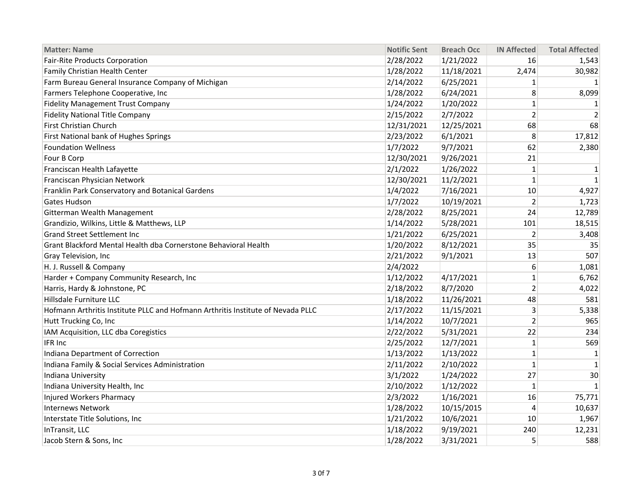| <b>Matter: Name</b>                                                             | <b>Notific Sent</b> | <b>Breach Occ</b> | <b>IN Affected</b> | <b>Total Affected</b> |
|---------------------------------------------------------------------------------|---------------------|-------------------|--------------------|-----------------------|
| <b>Fair-Rite Products Corporation</b>                                           | 2/28/2022           | 1/21/2022         | 16                 | 1,543                 |
| Family Christian Health Center                                                  | 1/28/2022           | 11/18/2021        | 2,474              | 30,982                |
| Farm Bureau General Insurance Company of Michigan                               | 2/14/2022           | 6/25/2021         | $\mathbf{1}$       | 1                     |
| Farmers Telephone Cooperative, Inc                                              | 1/28/2022           | 6/24/2021         | 8                  | 8,099                 |
| <b>Fidelity Management Trust Company</b>                                        | 1/24/2022           | 1/20/2022         | $\mathbf{1}$       | 1                     |
| <b>Fidelity National Title Company</b>                                          | 2/15/2022           | 2/7/2022          | $\overline{2}$     | $\overline{2}$        |
| <b>First Christian Church</b>                                                   | 12/31/2021          | 12/25/2021        | 68                 | 68                    |
| First National bank of Hughes Springs                                           | 2/23/2022           | 6/1/2021          | 8                  | 17,812                |
| <b>Foundation Wellness</b>                                                      | 1/7/2022            | 9/7/2021          | 62                 | 2,380                 |
| Four B Corp                                                                     | 12/30/2021          | 9/26/2021         | 21                 |                       |
| Franciscan Health Lafayette                                                     | 2/1/2022            | 1/26/2022         | $\mathbf{1}$       | $\mathbf 1$           |
| Franciscan Physician Network                                                    | 12/30/2021          | 11/2/2021         | $\mathbf{1}$       | $\mathbf{1}$          |
| Franklin Park Conservatory and Botanical Gardens                                | 1/4/2022            | 7/16/2021         | 10                 | 4,927                 |
| Gates Hudson                                                                    | 1/7/2022            | 10/19/2021        | $\overline{2}$     | 1,723                 |
| Gitterman Wealth Management                                                     | 2/28/2022           | 8/25/2021         | 24                 | 12,789                |
| Grandizio, Wilkins, Little & Matthews, LLP                                      | 1/14/2022           | 5/28/2021         | 101                | 18,515                |
| <b>Grand Street Settlement Inc</b>                                              | 1/21/2022           | 6/25/2021         | $\overline{2}$     | 3,408                 |
| Grant Blackford Mental Health dba Cornerstone Behavioral Health                 | 1/20/2022           | 8/12/2021         | 35                 | 35                    |
| Gray Television, Inc                                                            | 2/21/2022           | 9/1/2021          | 13                 | 507                   |
| H. J. Russell & Company                                                         | 2/4/2022            |                   | 6                  | 1,081                 |
| Harder + Company Community Research, Inc                                        | 1/12/2022           | 4/17/2021         | $\mathbf{1}$       | 6,762                 |
| Harris, Hardy & Johnstone, PC                                                   | 2/18/2022           | 8/7/2020          | $\overline{2}$     | 4,022                 |
| Hillsdale Furniture LLC                                                         | 1/18/2022           | 11/26/2021        | 48                 | 581                   |
| Hofmann Arthritis Institute PLLC and Hofmann Arthritis Institute of Nevada PLLC | 2/17/2022           | 11/15/2021        | 3                  | 5,338                 |
| Hutt Trucking Co, Inc                                                           | 1/14/2022           | 10/7/2021         | $\overline{2}$     | 965                   |
| IAM Acquisition, LLC dba Coregistics                                            | 2/22/2022           | 5/31/2021         | 22                 | 234                   |
| IFR Inc                                                                         | 2/25/2022           | 12/7/2021         | $\mathbf{1}$       | 569                   |
| Indiana Department of Correction                                                | 1/13/2022           | 1/13/2022         | $\mathbf{1}$       | $\mathbf{1}$          |
| Indiana Family & Social Services Administration                                 | 2/11/2022           | 2/10/2022         | $\mathbf{1}$       | 1                     |
| Indiana University                                                              | 3/1/2022            | 1/24/2022         | 27                 | 30                    |
| Indiana University Health, Inc                                                  | 2/10/2022           | 1/12/2022         | 1                  | $\mathbf{1}$          |
| Injured Workers Pharmacy                                                        | 2/3/2022            | 1/16/2021         | 16                 | 75,771                |
| <b>Internews Network</b>                                                        | 1/28/2022           | 10/15/2015        | $\overline{4}$     | 10,637                |
| Interstate Title Solutions, Inc                                                 | 1/21/2022           | 10/6/2021         | 10                 | 1,967                 |
| InTransit, LLC                                                                  | 1/18/2022           | 9/19/2021         | 240                | 12,231                |
| Jacob Stern & Sons, Inc                                                         | 1/28/2022           | 3/31/2021         | 5                  | 588                   |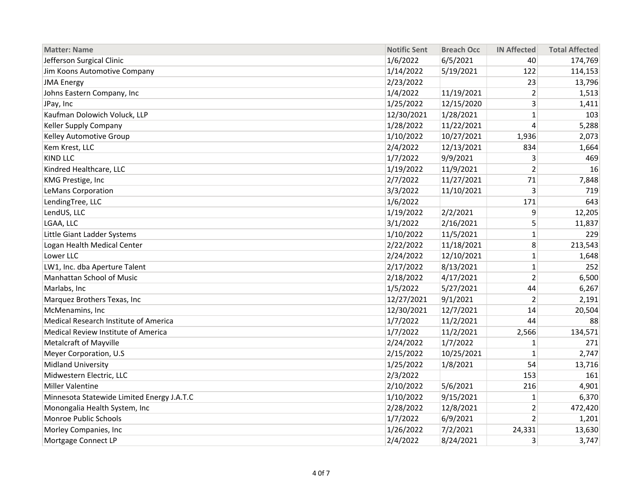| <b>Matter: Name</b>                        | <b>Notific Sent</b> | <b>Breach Occ</b> | <b>IN Affected</b> | <b>Total Affected</b> |
|--------------------------------------------|---------------------|-------------------|--------------------|-----------------------|
| Jefferson Surgical Clinic                  | 1/6/2022            | 6/5/2021          | 40                 | 174,769               |
| Jim Koons Automotive Company               | 1/14/2022           | 5/19/2021         | 122                | 114,153               |
| <b>JMA Energy</b>                          | 2/23/2022           |                   | 23                 | 13,796                |
| Johns Eastern Company, Inc                 | 1/4/2022            | 11/19/2021        | $\overline{2}$     | 1,513                 |
| JPay, Inc                                  | 1/25/2022           | 12/15/2020        | 3                  | 1,411                 |
| Kaufman Dolowich Voluck, LLP               | 12/30/2021          | 1/28/2021         | $\mathbf{1}$       | 103                   |
| Keller Supply Company                      | 1/28/2022           | 11/22/2021        | 4                  | 5,288                 |
| Kelley Automotive Group                    | 1/10/2022           | 10/27/2021        | 1,936              | 2,073                 |
| Kem Krest, LLC                             | 2/4/2022            | 12/13/2021        | 834                | 1,664                 |
| <b>KIND LLC</b>                            | 1/7/2022            | 9/9/2021          | 3                  | 469                   |
| Kindred Healthcare, LLC                    | 1/19/2022           | 11/9/2021         | 2                  | 16                    |
| KMG Prestige, Inc                          | 2/7/2022            | 11/27/2021        | 71                 | 7,848                 |
| LeMans Corporation                         | 3/3/2022            | 11/10/2021        | 3                  | 719                   |
| LendingTree, LLC                           | 1/6/2022            |                   | 171                | 643                   |
| LendUS, LLC                                | 1/19/2022           | 2/2/2021          | 9                  | 12,205                |
| LGAA, LLC                                  | 3/1/2022            | 2/16/2021         | 5                  | 11,837                |
| Little Giant Ladder Systems                | 1/10/2022           | 11/5/2021         | $\mathbf{1}$       | 229                   |
| Logan Health Medical Center                | 2/22/2022           | 11/18/2021        | 8                  | 213,543               |
| Lower LLC                                  | 2/24/2022           | 12/10/2021        | $\mathbf{1}$       | 1,648                 |
| LW1, Inc. dba Aperture Talent              | 2/17/2022           | 8/13/2021         | $\mathbf{1}$       | 252                   |
| Manhattan School of Music                  | 2/18/2022           | 4/17/2021         | $\overline{2}$     | 6,500                 |
| Marlabs, Inc                               | 1/5/2022            | 5/27/2021         | 44                 | 6,267                 |
| Marquez Brothers Texas, Inc                | 12/27/2021          | 9/1/2021          | $\overline{2}$     | 2,191                 |
| McMenamins, Inc                            | 12/30/2021          | 12/7/2021         | 14                 | 20,504                |
| Medical Research Institute of America      | 1/7/2022            | 11/2/2021         | 44                 | 88                    |
| Medical Review Institute of America        | 1/7/2022            | 11/2/2021         | 2,566              | 134,571               |
| Metalcraft of Mayville                     | 2/24/2022           | 1/7/2022          | 1                  | 271                   |
| Meyer Corporation, U.S                     | 2/15/2022           | 10/25/2021        | $\mathbf{1}$       | 2,747                 |
| <b>Midland University</b>                  | 1/25/2022           | 1/8/2021          | 54                 | 13,716                |
| Midwestern Electric, LLC                   | 2/3/2022            |                   | 153                | 161                   |
| Miller Valentine                           | 2/10/2022           | 5/6/2021          | 216                | 4,901                 |
| Minnesota Statewide Limited Energy J.A.T.C | 1/10/2022           | 9/15/2021         | $\mathbf{1}$       | 6,370                 |
| Monongalia Health System, Inc              | 2/28/2022           | 12/8/2021         | 2                  | 472,420               |
| Monroe Public Schools                      | 1/7/2022            | 6/9/2021          | $\mathfrak{p}$     | 1,201                 |
| Morley Companies, Inc                      | 1/26/2022           | 7/2/2021          | 24,331             | 13,630                |
| Mortgage Connect LP                        | 2/4/2022            | 8/24/2021         | 3                  | 3,747                 |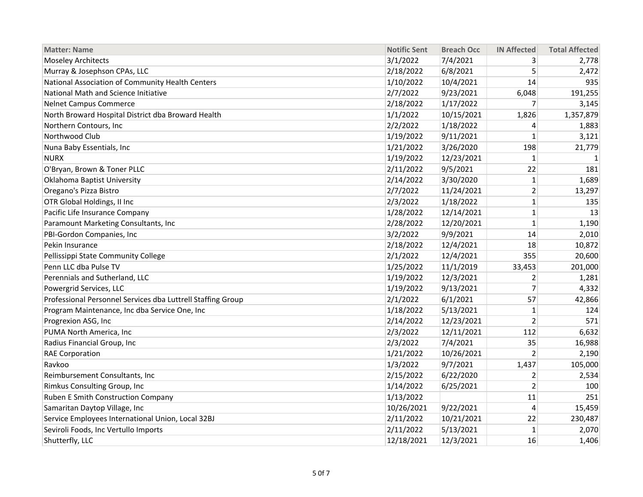| <b>Matter: Name</b>                                         | <b>Notific Sent</b> | <b>Breach Occ</b> | <b>IN Affected</b> | <b>Total Affected</b> |
|-------------------------------------------------------------|---------------------|-------------------|--------------------|-----------------------|
| <b>Moseley Architects</b>                                   | 3/1/2022            | 7/4/2021          | 3                  | 2,778                 |
| Murray & Josephson CPAs, LLC                                | 2/18/2022           | 6/8/2021          | 5                  | 2,472                 |
| National Association of Community Health Centers            | 1/10/2022           | 10/4/2021         | 14                 | 935                   |
| National Math and Science Initiative                        | 2/7/2022            | 9/23/2021         | 6,048              | 191,255               |
| <b>Nelnet Campus Commerce</b>                               | 2/18/2022           | 1/17/2022         | 7                  | 3,145                 |
| North Broward Hospital District dba Broward Health          | 1/1/2022            | 10/15/2021        | 1,826              | 1,357,879             |
| Northern Contours, Inc                                      | 2/2/2022            | 1/18/2022         | 4                  | 1,883                 |
| Northwood Club                                              | 1/19/2022           | 9/11/2021         | $\mathbf{1}$       | 3,121                 |
| Nuna Baby Essentials, Inc                                   | 1/21/2022           | 3/26/2020         | 198                | 21,779                |
| <b>NURX</b>                                                 | 1/19/2022           | 12/23/2021        | $\mathbf{1}$       | 1                     |
| O'Bryan, Brown & Toner PLLC                                 | 2/11/2022           | 9/5/2021          | 22                 | 181                   |
| Oklahoma Baptist University                                 | 2/14/2022           | 3/30/2020         | $\mathbf{1}$       | 1,689                 |
| Oregano's Pizza Bistro                                      | 2/7/2022            | 11/24/2021        | $\overline{2}$     | 13,297                |
| OTR Global Holdings, II Inc                                 | 2/3/2022            | 1/18/2022         | $\mathbf{1}$       | 135                   |
| Pacific Life Insurance Company                              | 1/28/2022           | 12/14/2021        | $\mathbf{1}$       | 13                    |
| Paramount Marketing Consultants, Inc                        | 2/28/2022           | 12/20/2021        | $\mathbf{1}$       | 1,190                 |
| PBI-Gordon Companies, Inc                                   | 3/2/2022            | 9/9/2021          | 14                 | 2,010                 |
| Pekin Insurance                                             | 2/18/2022           | 12/4/2021         | 18                 | 10,872                |
| Pellissippi State Community College                         | 2/1/2022            | 12/4/2021         | 355                | 20,600                |
| Penn LLC dba Pulse TV                                       | 1/25/2022           | 11/1/2019         | 33,453             | 201,000               |
| Perennials and Sutherland, LLC                              | 1/19/2022           | 12/3/2021         | $\overline{2}$     | 1,281                 |
| Powergrid Services, LLC                                     | 1/19/2022           | 9/13/2021         | 7                  | 4,332                 |
| Professional Personnel Services dba Luttrell Staffing Group | 2/1/2022            | 6/1/2021          | 57                 | 42,866                |
| Program Maintenance, Inc dba Service One, Inc               | 1/18/2022           | 5/13/2021         | $\mathbf{1}$       | 124                   |
| Progrexion ASG, Inc                                         | 2/14/2022           | 12/23/2021        | $\overline{2}$     | 571                   |
| PUMA North America, Inc                                     | 2/3/2022            | 12/11/2021        | 112                | 6,632                 |
| Radius Financial Group, Inc                                 | 2/3/2022            | 7/4/2021          | 35                 | 16,988                |
| <b>RAE Corporation</b>                                      | 1/21/2022           | 10/26/2021        | $\overline{2}$     | 2,190                 |
| Ravkoo                                                      | 1/3/2022            | 9/7/2021          | 1,437              | 105,000               |
| Reimbursement Consultants, Inc                              | 2/15/2022           | 6/22/2020         | 2                  | 2,534                 |
| Rimkus Consulting Group, Inc                                | 1/14/2022           | 6/25/2021         | $\overline{2}$     | 100                   |
| Ruben E Smith Construction Company                          | 1/13/2022           |                   | 11                 | 251                   |
| Samaritan Daytop Village, Inc                               | 10/26/2021          | 9/22/2021         | $\overline{4}$     | 15,459                |
| Service Employees International Union, Local 32BJ           | 2/11/2022           | 10/21/2021        | 22                 | 230,487               |
| Seviroli Foods, Inc Vertullo Imports                        | 2/11/2022           | 5/13/2021         | $\mathbf{1}$       | 2,070                 |
| Shutterfly, LLC                                             | 12/18/2021          | 12/3/2021         | 16                 | 1,406                 |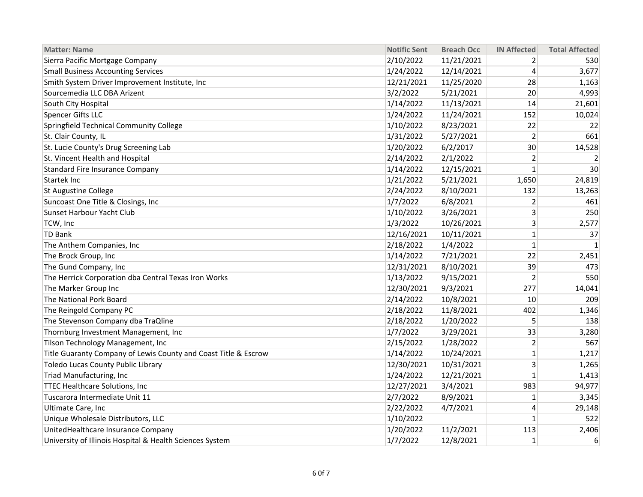| <b>Matter: Name</b>                                             | <b>Notific Sent</b> | <b>Breach Occ</b> | <b>IN Affected</b> | <b>Total Affected</b> |
|-----------------------------------------------------------------|---------------------|-------------------|--------------------|-----------------------|
| Sierra Pacific Mortgage Company                                 | 2/10/2022           | 11/21/2021        | $\overline{2}$     | 530                   |
| <b>Small Business Accounting Services</b>                       | 1/24/2022           | 12/14/2021        | 4                  | 3,677                 |
| Smith System Driver Improvement Institute, Inc                  | 12/21/2021          | 11/25/2020        | 28                 | 1,163                 |
| Sourcemedia LLC DBA Arizent                                     | 3/2/2022            | 5/21/2021         | 20                 | 4,993                 |
| South City Hospital                                             | 1/14/2022           | 11/13/2021        | 14                 | 21,601                |
| Spencer Gifts LLC                                               | 1/24/2022           | 11/24/2021        | 152                | 10,024                |
| Springfield Technical Community College                         | 1/10/2022           | 8/23/2021         | 22                 | 22                    |
| St. Clair County, IL                                            | 1/31/2022           | 5/27/2021         | 2                  | 661                   |
| St. Lucie County's Drug Screening Lab                           | 1/20/2022           | 6/2/2017          | 30                 | 14,528                |
| St. Vincent Health and Hospital                                 | 2/14/2022           | 2/1/2022          | 2                  | 2                     |
| <b>Standard Fire Insurance Company</b>                          | 1/14/2022           | 12/15/2021        | $\mathbf{1}$       | 30                    |
| <b>Startek Inc</b>                                              | 1/21/2022           | 5/21/2021         | 1,650              | 24,819                |
| <b>St Augustine College</b>                                     | 2/24/2022           | 8/10/2021         | 132                | 13,263                |
| Suncoast One Title & Closings, Inc                              | 1/7/2022            | 6/8/2021          | $\overline{2}$     | 461                   |
| Sunset Harbour Yacht Club                                       | 1/10/2022           | 3/26/2021         | 3                  | 250                   |
| TCW, Inc                                                        | 1/3/2022            | 10/26/2021        | $\overline{3}$     | 2,577                 |
| <b>TD Bank</b>                                                  | 12/16/2021          | 10/11/2021        | $\mathbf{1}$       | 37                    |
| The Anthem Companies, Inc                                       | 2/18/2022           | 1/4/2022          | $\mathbf{1}$       | $\mathbf{1}$          |
| The Brock Group, Inc                                            | 1/14/2022           | 7/21/2021         | 22                 | 2,451                 |
| The Gund Company, Inc                                           | 12/31/2021          | 8/10/2021         | 39                 | 473                   |
| The Herrick Corporation dba Central Texas Iron Works            | 1/13/2022           | 9/15/2021         | $\overline{2}$     | 550                   |
| The Marker Group Inc                                            | 12/30/2021          | 9/3/2021          | 277                | 14,041                |
| The National Pork Board                                         | 2/14/2022           | 10/8/2021         | 10                 | 209                   |
| The Reingold Company PC                                         | 2/18/2022           | 11/8/2021         | 402                | 1,346                 |
| The Stevenson Company dba TraQline                              | 2/18/2022           | 1/20/2022         | 5                  | 138                   |
| Thornburg Investment Management, Inc                            | 1/7/2022            | 3/29/2021         | 33                 | 3,280                 |
| Tilson Technology Management, Inc                               | 2/15/2022           | 1/28/2022         | $\overline{2}$     | 567                   |
| Title Guaranty Company of Lewis County and Coast Title & Escrow | 1/14/2022           | 10/24/2021        | $\mathbf{1}$       | 1,217                 |
| Toledo Lucas County Public Library                              | 12/30/2021          | 10/31/2021        | 3                  | 1,265                 |
| Triad Manufacturing, Inc                                        | 1/24/2022           | 12/21/2021        | $\mathbf{1}$       | 1,413                 |
| <b>TTEC Healthcare Solutions, Inc</b>                           | 12/27/2021          | 3/4/2021          | 983                | 94,977                |
| Tuscarora Intermediate Unit 11                                  | 2/7/2022            | 8/9/2021          | $\mathbf{1}$       | 3,345                 |
| Ultimate Care, Inc                                              | 2/22/2022           | 4/7/2021          | 4                  | 29,148                |
| Unique Wholesale Distributors, LLC                              | 1/10/2022           |                   | $\mathbf{1}$       | 522                   |
| UnitedHealthcare Insurance Company                              | 1/20/2022           | 11/2/2021         | 113                | 2,406                 |
| University of Illinois Hospital & Health Sciences System        | 1/7/2022            | 12/8/2021         | $\mathbf{1}$       | 6                     |